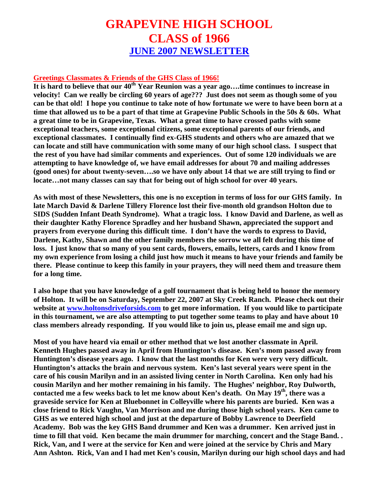## **GRAPEVINE HIGH SCHOOL CLASS of 1966 JUNE 2007 NEWSLETTER**

## **Greetings Classmates & Friends of the GHS Class of 1966!**

**It is hard to believe that our 40th Year Reunion was a year ago….time continues to increase in velocity! Can we really be circling 60 years of age??? Just does not seem as though some of you can be that old! I hope you continue to take note of how fortunate we were to have been born at a time that allowed us to be a part of that time at Grapevine Public Schools in the 50s & 60s. What a great time to be in Grapevine, Texas. What a great time to have crossed paths with some exceptional teachers, some exceptional citizens, some exceptional parents of our friends, and exceptional classmates. I continually find ex-GHS students and others who are amazed that we can locate and still have communication with some many of our high school class. I suspect that the rest of you have had similar comments and experiences. Out of some 120 individuals we are attempting to have knowledge of, we have email addresses for about 70 and mailing addresses (good ones) for about twenty-seven….so we have only about 14 that we are still trying to find or locate…not many classes can say that for being out of high school for over 40 years.** 

**As with most of these Newsletters, this one is no exception in terms of loss for our GHS family. In late March David & Darlene Tillery Florence lost their five-month old grandson Holton due to SIDS (Sudden Infant Death Syndrome). What a tragic loss. I know David and Darlene, as well as their daughter Kathy Florence Spradley and her husband Shawn, appreciated the support and prayers from everyone during this difficult time. I don't have the words to express to David, Darlene, Kathy, Shawn and the other family members the sorrow we all felt during this time of loss. I just know that so many of you sent cards, flowers, emails, letters, cards and I know from my own experience from losing a child just how much it means to have your friends and family be there. Please continue to keep this family in your prayers, they will need them and treasure them for a long time.** 

**I also hope that you have knowledge of a golf tournament that is being held to honor the memory of Holton. It will be on Saturday, September 22, 2007 at Sky Creek Ranch. Please check out their website at [www.holtonsdriveforsids.com](http://www.holtonsdriveforsids.com/) to get more information. If you would like to participate in this tournament, we are also attempting to put together some teams to play and have about 10 class members already responding. If you would like to join us, please email me and sign up.** 

**Most of you have heard via email or other method that we lost another classmate in April. Kenneth Hughes passed away in April from Huntington's disease. Ken's mom passed away from Huntington's disease years ago. I know that the last months for Ken were very very difficult. Huntington's attacks the brain and nervous system. Ken's last several years were spent in the care of his cousin Marilyn and in an assisted living center in North Carolina. Ken only had his cousin Marilyn and her mother remaining in his family. The Hughes' neighbor, Roy Dulworth, contacted me a few weeks back to let me know about Ken's death. On May 19th, there was a graveside service for Ken at Bluebonnet in Colleyville where his parents are buried. Ken was a close friend to Rick Vaughn, Van Morrison and me during those high school years. Ken came to GHS as we entered high school and just at the departure of Bobby Lawrence to Deerfield Academy. Bob was the key GHS Band drummer and Ken was a drummer. Ken arrived just in time to fill that void. Ken became the main drummer for marching, concert and the Stage Band. . Rick, Van, and I were at the service for Ken and were joined at the service by Chris and Mary Ann Ashton. Rick, Van and I had met Ken's cousin, Marilyn during our high school days and had**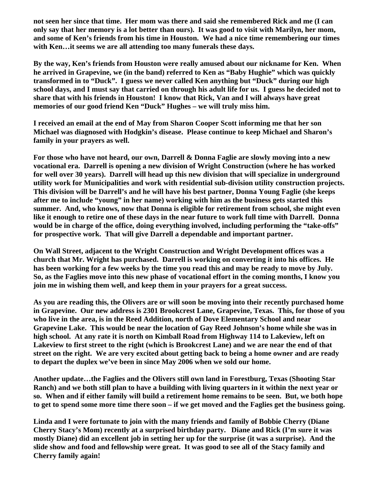**not seen her since that time. Her mom was there and said she remembered Rick and me (I can only say that her memory is a lot better than ours). It was good to visit with Marilyn, her mom, and some of Ken's friends from his time in Houston. We had a nice time remembering our times with Ken…it seems we are all attending too many funerals these days.** 

**By the way, Ken's friends from Houston were really amused about our nickname for Ken. When he arrived in Grapevine, we (in the band) referred to Ken as "Baby Hughie" which was quickly transformed in to "Duck". I guess we never called Ken anything but "Duck" during our high school days, and I must say that carried on through his adult life for us. I guess he decided not to share that with his friends in Houston! I know that Rick, Van and I will always have great memories of our good friend Ken "Duck" Hughes – we will truly miss him.** 

**I received an email at the end of May from Sharon Cooper Scott informing me that her son Michael was diagnosed with Hodgkin's disease. Please continue to keep Michael and Sharon's family in your prayers as well.** 

**For those who have not heard, our own, Darrell & Donna Faglie are slowly moving into a new vocational era. Darrell is opening a new division of Wright Construction (where he has worked for well over 30 years). Darrell will head up this new division that will specialize in underground utility work for Municipalities and work with residential sub-division utility construction projects. This division will be Darrell's and he will have his best partner, Donna Young Faglie (she keeps after me to include "young" in her name) working with him as the business gets started this summer. And, who knows, now that Donna is eligible for retirement from school, she might even like it enough to retire one of these days in the near future to work full time with Darrell. Donna would be in charge of the office, doing everything involved, including performing the "take-offs" for prospective work. That will give Darrell a dependable and important partner.** 

**On Wall Street, adjacent to the Wright Construction and Wright Development offices was a church that Mr. Wright has purchased. Darrell is working on converting it into his offices. He has been working for a few weeks by the time you read this and may be ready to move by July. So, as the Faglies move into this new phase of vocational effort in the coming months, I know you join me in wishing them well, and keep them in your prayers for a great success.** 

**As you are reading this, the Olivers are or will soon be moving into their recently purchased home in Grapevine. Our new address is 2301 Brookcrest Lane, Grapevine, Texas. This, for those of you who live in the area, is in the Reed Addition, north of Dove Elementary School and near Grapevine Lake. This would be near the location of Gay Reed Johnson's home while she was in high school. At any rate it is north on Kimball Road from Highway 114 to Lakeview, left on Lakeview to first street to the right (which is Brookcrest Lane) and we are near the end of that street on the right. We are very excited about getting back to being a home owner and are ready to depart the duplex we've been in since May 2006 when we sold our home.** 

**Another update…the Faglies and the Olivers still own land in Forestburg, Texas (Shooting Star Ranch) and we both still plan to have a building with living quarters in it within the next year or so. When and if either family will build a retirement home remains to be seen. But, we both hope to get to spend some more time there soon – if we get moved and the Faglies get the business going.** 

**Linda and I were fortunate to join with the many friends and family of Bobbie Cherry (Diane Cherry Stacy's Mom) recently at a surprised birthday party. Diane and Rick (I'm sure it was mostly Diane) did an excellent job in setting her up for the surprise (it was a surprise). And the slide show and food and fellowship were great. It was good to see all of the Stacy family and Cherry family again!**